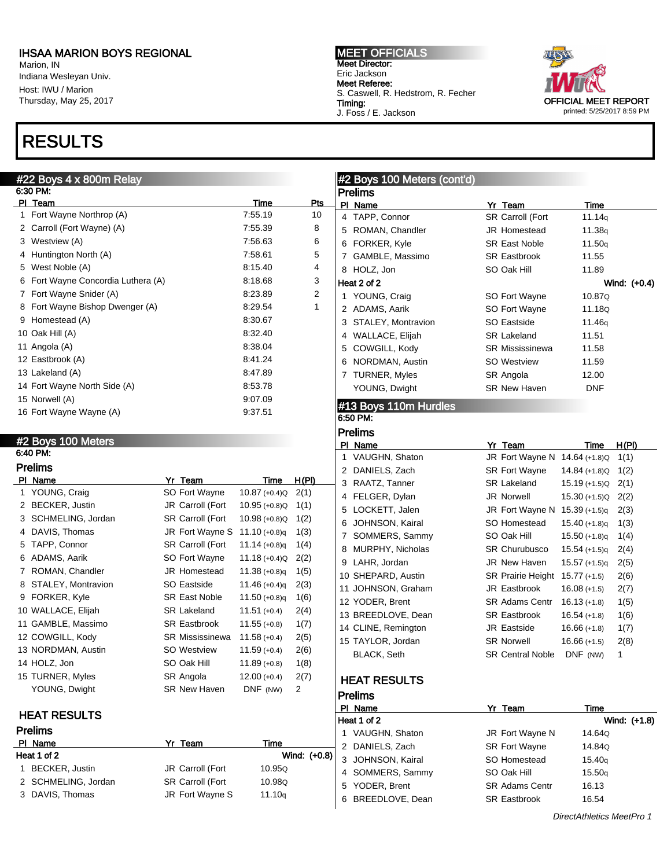Marion, IN Indiana Wesleyan Univ. Host: IWU / Marion Thursday, May 25, 2017

# RESULTS

#### #22 Boys 4 x 800m Relay  $\overline{\text{O}}$  DM:

|    | 0.JU FM.                         |         |     |
|----|----------------------------------|---------|-----|
|    | PI Team                          | Time    | Pts |
| 1. | Fort Wayne Northrop (A)          | 7:55.19 | 10  |
| 2  | Carroll (Fort Wayne) (A)         | 7:55.39 | 8   |
| 3  | Westview (A)                     | 7:56.63 | 6   |
| 4  | Huntington North (A)             | 7:58.61 | 5   |
| 5  | West Noble (A)                   | 8.15.40 | 4   |
| 6  | Fort Wayne Concordia Luthera (A) | 8.18.68 | 3   |
| 7  | Fort Wayne Snider (A)            | 8.23.89 | 2   |
| 8  | Fort Wayne Bishop Dwenger (A)    | 8.29.54 | 1   |
| 9  | Homestead (A)                    | 8.30.67 |     |
|    | 10 Oak Hill (A)                  | 8.32.40 |     |
|    | 11 Angola (A)                    | 8.38.04 |     |
|    | 12 Eastbrook (A)                 | 8:41.24 |     |
|    | 13 Lakeland (A)                  | 8:47.89 |     |
|    | 14 Fort Wayne North Side (A)     | 8:53.78 |     |
|    | 15 Norwell (A)                   | 9:07.09 |     |
|    | 16 Fort Wayne Wayne (A)          | 9:37.51 |     |

#### #2 Boys 100 Meters

#### 6:40 PM: Prelims

|           | Prelims               |  |                         |                 |              |  |  |  |  |
|-----------|-----------------------|--|-------------------------|-----------------|--------------|--|--|--|--|
| <b>PI</b> | Name                  |  | Yr Team                 | Time            | <u>H(PI)</u> |  |  |  |  |
| 1         | YOUNG, Craig          |  | SO Fort Wayne           | $10.87 (+0.4)Q$ | 2(1)         |  |  |  |  |
| 2         | <b>BECKER, Justin</b> |  | JR Carroll (Fort        | $10.95 (+0.8)Q$ | 1(1)         |  |  |  |  |
| 3         | SCHMELING, Jordan     |  | SR Carroll (Fort        | $10.98 (+0.8)Q$ | 1(2)         |  |  |  |  |
| 4         | DAVIS, Thomas         |  | JR Fort Wayne S         | $11.10 (+0.8)q$ | 1(3)         |  |  |  |  |
| 5         | TAPP, Connor          |  | <b>SR Carroll (Fort</b> | $11.14 (+0.8)q$ | 1(4)         |  |  |  |  |
| 6         | ADAMS, Aarik          |  | SO Fort Wayne           | $11.18 (+0.4)Q$ | 2(2)         |  |  |  |  |
| 7         | ROMAN, Chandler       |  | <b>JR Homestead</b>     | $11.38 (+0.8)q$ | 1(5)         |  |  |  |  |
| 8         | STALEY, Montravion    |  | SO Eastside             | 11.46 $(+0.4)q$ | 2(3)         |  |  |  |  |
| 9         | FORKER, Kyle          |  | <b>SR East Noble</b>    | $11.50 (+0.8)q$ | 1(6)         |  |  |  |  |
|           | 10 WALLACE, Elijah    |  | <b>SR Lakeland</b>      | $11.51 (+0.4)$  | 2(4)         |  |  |  |  |
|           | 11 GAMBLE, Massimo    |  | <b>SR Eastbrook</b>     | $11.55 (+0.8)$  | 1(7)         |  |  |  |  |
|           | 12 COWGILL, Kody      |  | <b>SR Mississinewa</b>  | $11.58 (+0.4)$  | 2(5)         |  |  |  |  |
|           | 13 NORDMAN, Austin    |  | <b>SO Westview</b>      | $11.59 (+0.4)$  | 2(6)         |  |  |  |  |
|           | 14 HOLZ, Jon          |  | SO Oak Hill             | $11.89 (+0.8)$  | 1(8)         |  |  |  |  |
|           | 15 TURNER, Myles      |  | SR Angola               | $12.00 (+0.4)$  | 2(7)         |  |  |  |  |
|           | YOUNG, Dwight         |  | SR New Haven            | DNF (NW)        | 2            |  |  |  |  |

#### HEAT RESULTS

### Prelims

| Time         |
|--------------|
| Wind: (+0.8) |
| 10.95Q       |
| 10.98Q       |
| 11.10q       |
|              |

MEET OFFICIALS Meet Director: Eric Jackson Meet Referee: S. Caswell, R. Hedstrom, R. Fecher Timing: J. Foss / E. Jackson



#### #2 Boys 100 Meters (cont'd) Prelims Pl Name Yr Team Time 4 TAPP, Connor SR Carroll (Fort 11.14q) 5 ROMAN, Chandler JR Homestead 11.38q 6 FORKER, Kyle SR East Noble 11.50q 7 GAMBLE, Massimo SR Eastbrook 11.55 8 HOLZ, Jon SO Oak Hill 11.89 Heat 2 of 2 Wind: (+0.4) 1 YOUNG, Craig SO Fort Wayne 10.87Q 2 ADAMS, Aarik SO Fort Wayne 11.18Q 3 STALEY, Montravion SO Eastside 11.46q 4 WALLACE, Elijah SR Lakeland 11.51 5 COWGILL, Kody SR Mississinewa 11.58 6 NORDMAN, Austin SO Westview 11.59 7 TURNER, Myles SR Angola 12.00 YOUNG, Dwight SR New Haven DNF #13 Boys 110m Hurdles

6:50 PM: Prelims

|    | <b>Prelims</b>      |  |                          |                 |       |  |  |  |
|----|---------------------|--|--------------------------|-----------------|-------|--|--|--|
| PI | Name                |  | Yr Team                  | Time            | H(PI) |  |  |  |
| 1  | VAUGHN, Shaton      |  | JR Fort Wayne N          | $14.64 (+1.8)Q$ | 1(1)  |  |  |  |
| 2  | DANIELS, Zach       |  | <b>SR Fort Wayne</b>     | 14.84 (+1.8)Q   | 1(2)  |  |  |  |
| 3  | RAATZ, Tanner       |  | <b>SR Lakeland</b>       | 15.19 (+1.5)Q   | 2(1)  |  |  |  |
| 4  | FELGER, Dylan       |  | <b>JR Norwell</b>        | 15.30 (+1.5)Q   | 2(2)  |  |  |  |
| 5  | LOCKETT, Jalen      |  | JR Fort Wayne N          | $15.39 (+1.5)q$ | 2(3)  |  |  |  |
| 6  | JOHNSON, Kairal     |  | SO Homestead             | $15.40 (+1.8)q$ | 1(3)  |  |  |  |
| 7  | SOMMERS, Sammy      |  | SO Oak Hill              | $15.50 (+1.8)q$ | 1(4)  |  |  |  |
| 8  | MURPHY, Nicholas    |  | <b>SR Churubusco</b>     | $15.54 (+1.5)q$ | 2(4)  |  |  |  |
| 9  | LAHR, Jordan        |  | <b>JR New Haven</b>      | $15.57 (+1.5)q$ | 2(5)  |  |  |  |
|    | 10 SHEPARD, Austin  |  | <b>SR Prairie Height</b> | $15.77(+1.5)$   | 2(6)  |  |  |  |
|    | 11 JOHNSON, Graham  |  | <b>JR Eastbrook</b>      | $16.08 (+1.5)$  | 2(7)  |  |  |  |
|    | 12 YODER, Brent     |  | <b>SR Adams Centr</b>    | $16.13 (+1.8)$  | 1(5)  |  |  |  |
|    | 13 BREEDLOVE, Dean  |  | <b>SR Eastbrook</b>      | $16.54 (+1.8)$  | 1(6)  |  |  |  |
|    | 14 CLINE, Remington |  | <b>JR Eastside</b>       | $16.66 (+1.8)$  | 1(7)  |  |  |  |
|    | 15 TAYLOR, Jordan   |  | <b>SR Norwell</b>        | $16.66 (+1.5)$  | 2(8)  |  |  |  |
|    | <b>BLACK, Seth</b>  |  | <b>SR Central Noble</b>  | DNF (NW)        | 1     |  |  |  |
|    |                     |  |                          |                 |       |  |  |  |

### HEAT RESULTS

|   | Prelims           |                       |              |  |  |  |  |  |
|---|-------------------|-----------------------|--------------|--|--|--|--|--|
|   | PI Name           | Yr Team               | Time         |  |  |  |  |  |
|   | Heat 1 of 2       |                       | Wind: (+1.8) |  |  |  |  |  |
|   | 1 VAUGHN, Shaton  | JR Fort Wayne N       | 14.64Q       |  |  |  |  |  |
|   | 2 DANIELS, Zach   | <b>SR Fort Wayne</b>  | 14.84Q       |  |  |  |  |  |
|   | 3 JOHNSON, Kairal | SO Homestead          | 15.40q       |  |  |  |  |  |
|   | 4 SOMMERS, Sammy  | SO Oak Hill           | 15.50q       |  |  |  |  |  |
|   | 5 YODER, Brent    | <b>SR Adams Centr</b> | 16.13        |  |  |  |  |  |
| 6 | BREEDLOVE, Dean   | <b>SR Eastbrook</b>   | 16.54        |  |  |  |  |  |

DirectAthletics MeetPro 1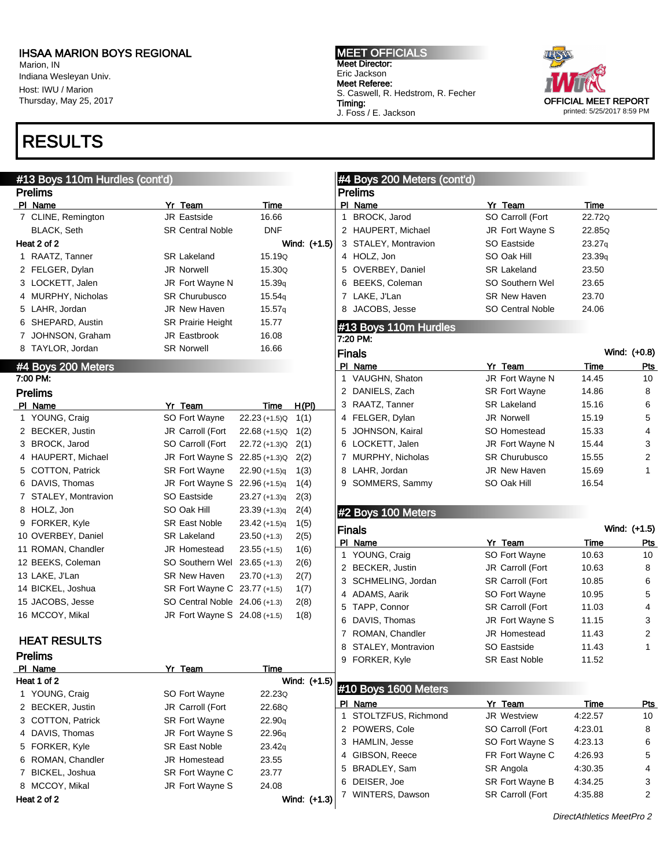Marion, IN Indiana Wesleyan Univ. Host: IWU / Marion Thursday, May 25, 2017

## RESULTS

### #13 Boys 110m Hurdles

MEET OFFICIALS Meet Director: Eric Jackson Meet Referee: S. Caswell, R. Hedstrom, R. Fecher Timing: J. Foss / E. Jackson



| #13 Boys 110m Hurdles (cont'd)<br>#4 Boys 200 Meters (cont'd)<br><b>Prelims</b><br><b>Prelims</b> |                         |         |              |
|---------------------------------------------------------------------------------------------------|-------------------------|---------|--------------|
|                                                                                                   |                         |         |              |
| Yr Team<br>PI Name<br>PI Name<br>Time                                                             | Yr Team                 | Time    |              |
| <b>JR Eastside</b><br>7 CLINE, Remington<br>16.66<br>1 BROCK, Jarod                               | SO Carroll (Fort        | 22.72Q  |              |
| <b>BLACK, Seth</b><br><b>SR Central Noble</b><br><b>DNF</b><br>2 HAUPERT, Michael                 | JR Fort Wayne S         | 22.85Q  |              |
| Heat 2 of 2<br>3 STALEY, Montravion<br>Wind: (+1.5)                                               | SO Eastside             | 23.27q  |              |
| 1 RAATZ, Tanner<br><b>SR Lakeland</b><br>15.19Q<br>4 HOLZ, Jon                                    | SO Oak Hill             | 23.39q  |              |
| 2 FELGER, Dylan<br><b>JR Norwell</b><br>15.30Q<br>5 OVERBEY, Daniel                               | <b>SR Lakeland</b>      | 23.50   |              |
| 3 LOCKETT, Jalen<br>JR Fort Wayne N<br>15.39q<br>6 BEEKS, Coleman                                 | SO Southern Wel         | 23.65   |              |
| 4 MURPHY, Nicholas<br><b>SR Churubusco</b><br>7 LAKE, J'Lan<br>15.54q                             | <b>SR New Haven</b>     | 23.70   |              |
| 5 LAHR, Jordan<br>JR New Haven<br>15.57q<br>8 JACOBS, Jesse                                       | <b>SO Central Noble</b> | 24.06   |              |
| 15.77<br>6 SHEPARD, Austin<br><b>SR Prairie Height</b>                                            |                         |         |              |
| #13 Boys 110m Hurdles<br>JR Eastbrook<br>16.08<br>7 JOHNSON, Graham                               |                         |         |              |
| 7:20 PM:<br>8 TAYLOR, Jordan<br><b>SR Norwell</b><br>16.66                                        |                         |         |              |
| <b>Finals</b>                                                                                     |                         |         | Wind: (+0.8) |
| #4 Boys 200 Meters<br>PI Name                                                                     | Yr Team                 | Time    | <b>Pts</b>   |
| 1 VAUGHN, Shaton<br>7:00 PM:                                                                      | JR Fort Wayne N         | 14.45   | 10           |
| 2 DANIELS, Zach<br><b>Prelims</b>                                                                 | <b>SR Fort Wayne</b>    | 14.86   | 8            |
| 3 RAATZ, Tanner<br>Yr Team<br>H(PI)<br>PI Name<br>Time                                            | <b>SR Lakeland</b>      | 15.16   | 6            |
| 1 YOUNG, Craig<br>SO Fort Wayne<br>$22.23 (+1.5)Q$<br>1(1)<br>4 FELGER, Dylan                     | <b>JR Norwell</b>       | 15.19   | 5            |
| 2 BECKER, Justin<br>JR Carroll (Fort<br>5 JOHNSON, Kairal<br>$22.68 (+1.5)Q$<br>1(2)              | SO Homestead            | 15.33   | 4            |
| 3 BROCK, Jarod<br>SO Carroll (Fort<br>6 LOCKETT, Jalen<br>$22.72 (+1.3)Q$<br>2(1)                 | JR Fort Wayne N         | 15.44   | 3            |
| 4 HAUPERT, Michael<br>JR Fort Wayne S 22.85 (+1.3)Q<br>7 MURPHY, Nicholas<br>2(2)                 | <b>SR Churubusco</b>    | 15.55   | 2            |
| 5 COTTON, Patrick<br>SR Fort Wayne<br>22.90 (+1.5)q<br>8 LAHR, Jordan<br>1(3)                     | <b>JR New Haven</b>     | 15.69   | 1            |
| 6 DAVIS, Thomas<br>JR Fort Wayne S 22.96 (+1.5)q<br>9 SOMMERS, Sammy<br>1(4)                      | SO Oak Hill             | 16.54   |              |
| SO Eastside<br>$23.27 (+1.3)q$<br>7 STALEY, Montravion<br>2(3)                                    |                         |         |              |
| 8 HOLZ, Jon<br>SO Oak Hill<br>$23.39 (+1.3)q$<br>2(4)<br>#2 Boys 100 Meters                       |                         |         |              |
| 9 FORKER, Kyle<br><b>SR East Noble</b><br>$23.42 (+1.5)q$<br>1(5)                                 |                         |         |              |
| <b>Finals</b><br>$23.50 (+1.3)$<br>10 OVERBEY, Daniel<br><b>SR Lakeland</b><br>2(5)               |                         |         | Wind: (+1.5) |
| PI_Name<br>$23.55 (+1.5)$<br>11 ROMAN, Chandler<br><b>JR Homestead</b><br>1(6)                    | Yr Team                 | Time    | Pts          |
| 1 YOUNG, Craig<br>12 BEEKS, Coleman<br>$23.65 (+1.3)$<br>SO Southern Wel<br>2(6)                  | SO Fort Wayne           | 10.63   | 10           |
| 2 BECKER, Justin<br>13 LAKE, J'Lan<br><b>SR New Haven</b><br>$23.70 (+1.3)$<br>2(7)               | JR Carroll (Fort        | 10.63   | 8            |
| 3 SCHMELING, Jordan<br>14 BICKEL, Joshua<br>SR Fort Wayne C 23.77 (+1.5)<br>1(7)                  | SR Carroll (Fort        | 10.85   | 6            |
| 4 ADAMS, Aarik<br>15 JACOBS, Jesse<br>SO Central Noble 24.06 (+1.3)<br>2(8)                       | SO Fort Wayne           | 10.95   | 5            |
| 5 TAPP, Connor<br>16 MCCOY, Mikal<br>JR Fort Wayne S 24.08 (+1.5)<br>1(8)                         | SR Carroll (Fort        | 11.03   | 4            |
| 6 DAVIS, Thomas                                                                                   | JR Fort Wayne S         | 11.15   | 3            |
| 7 ROMAN, Chandler<br><b>HEAT RESULTS</b>                                                          | <b>JR Homestead</b>     | 11.43   | 2            |
| 8 STALEY, Montravion<br><b>Prelims</b>                                                            | <b>SO Eastside</b>      | 11.43   | $\mathbf{1}$ |
| 9 FORKER, Kyle<br>Yr Team<br>PI Name<br>Time                                                      | <b>SR East Noble</b>    | 11.52   |              |
| Wind: (+1.5)<br>Heat 1 of 2                                                                       |                         |         |              |
| #10 Boys 1600 Meters<br>1 YOUNG, Craig<br>SO Fort Wayne<br>22.23Q                                 |                         |         |              |
| PI Name<br>JR Carroll (Fort<br>22.68Q<br>2 BECKER, Justin                                         | Yr Team                 | Time    | <u>Pts</u>   |
| 1 STOLTZFUS, Richmond<br>SR Fort Wayne<br>22.90q<br>3 COTTON, Patrick                             | JR Westview             | 4:22.57 | 10           |
| 2 POWERS, Cole                                                                                    | SO Carroll (Fort        | 4:23.01 | 8            |
| JR Fort Wayne S<br>22.96q<br>4 DAVIS, Thomas<br>3 HAMLIN, Jesse                                   | SO Fort Wayne S         | 4:23.13 | 6            |
| 5 FORKER, Kyle<br><b>SR East Noble</b><br>23.42q<br>4 GIBSON, Reece                               | FR Fort Wayne C         | 4:26.93 | 5            |
| JR Homestead<br>23.55<br>6 ROMAN, Chandler<br>5 BRADLEY, Sam                                      | SR Angola               | 4:30.35 | 4            |
| 7 BICKEL, Joshua<br>SR Fort Wayne C<br>23.77<br>6 DEISER, Joe                                     | SR Fort Wayne B         | 4:34.25 | 3            |
| 8 MCCOY, Mikal<br>JR Fort Wayne S<br>24.08<br>7 WINTERS, Dawson                                   | SR Carroll (Fort        | 4:35.88 | 2            |
| Heat 2 of 2<br>Wind: (+1.3)                                                                       |                         |         |              |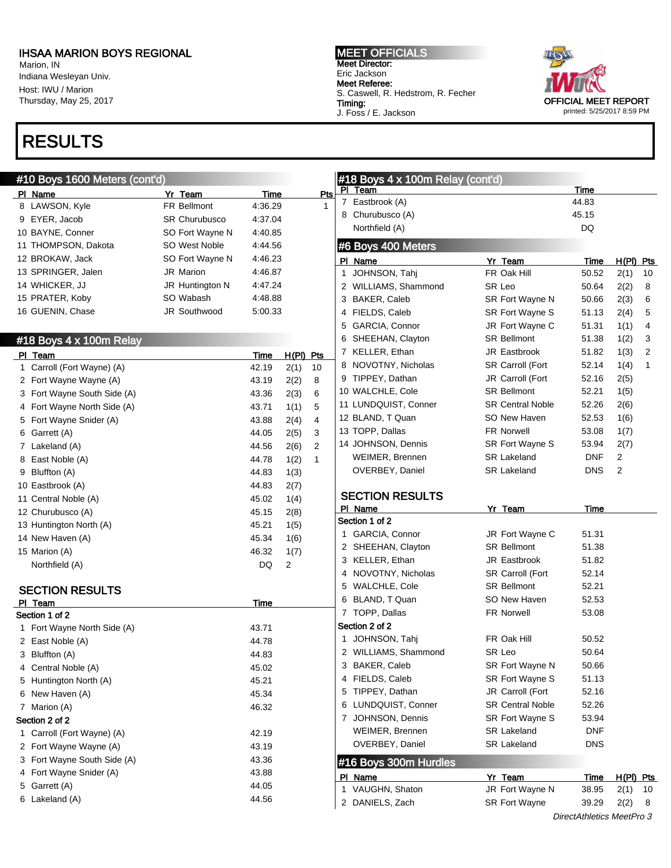Marion, IN Indiana Wesleyan Univ. Host: IWU / Marion Thursday, May 25, 2017

# RESULTS

#### #10 Boys 1600 Meters (cont'd)

PI Name **Yr Team** Time Pt 8 LAWSON, Kyle **FR Bellmont** 4:36.29 1 9 EYER, Jacob SR Churubusco 4:37.04 10 BAYNE, Conner SO Fort Wayne N 4:40.85 11 THOMPSON, Dakota SO West Noble 4:44.56 12 BROKAW, Jack SO Fort Wayne N 4:46.23 13 SPRINGER, Jalen JR Marion 4:46.87 14 WHICKER, JJ JR Huntington N 4:47.24 15 PRATER, Koby SO Wabash 4:48.88 16 GUENIN, Chase JR Southwood 5:00.33 #18 Boys 4 x 100m Relay PI Team Time H(PI) Pts 1 Carroll (Fort Wayne) (A) 42.19 2(1) 10 2 Fort Wayne Wayne (A) 43.19 2(2) 8 3 Fort Wayne South Side (A) 43.36 2(3) 6 4 Fort Wayne North Side (A) 43.71 1(1) 5 5 Fort Wayne Snider (A) 43.88 2(4) 4 6 Garrett (A) 44.05 2(5) 3 7 Lakeland (A) 44.56 2(6) 2 8 East Noble (A) 44.78 1(2) 1 9 Bluffton (A) 44.83 1(3) 10 Eastbrook (A) 44.83 2(7) 11 Central Noble (A) 45.02 1(4) 12 Churubusco (A) 45.15 2(8) 13 Huntington North (A) 45.21 1(5) 14 New Haven (A) 45.34 1(6) 15 Marion (A) 46.32 1(7) Northfield (A) DQ 2 SECTION RESULTS PI Team Time Section 1 of 2 1 Fort Wayne North Side (A) 43.71 2 East Noble (A) 44.78 3 Bluffton (A) 44.83 4 Central Noble (A) 45.02 5 Huntington North (A) 45.21 6 New Haven (A) 45.34 7 Marion (A) 46.32 Section 2 of 2 1 Carroll (Fort Wayne) (A) 42.19 2 Fort Wayne Wayne (A) 43.19 3 Fort Wayne South Side (A) 43.36 4 Fort Wayne Snider (A) 43.88 5 Garrett (A) 44.05 6 Lakeland (A) 44.56 Section 1 of 2 Section 2 of 2

MEET OFFICIALS Meet Director: Eric Jackson Meet Referee: S. Caswell, R. Hedstrom, R. Fecher Timing: J. Foss / E. Jackson



|   | #18 Boys 4 x 100m Relay (cont'd)   |                         |                           |                  |
|---|------------------------------------|-------------------------|---------------------------|------------------|
| S | PI Team                            |                         | <b>Time</b>               |                  |
| 7 | Eastbrook (A)                      |                         | 44.83                     |                  |
|   | 8 Churubusco (A)                   |                         | 45.15                     |                  |
|   | Northfield (A)                     |                         | DQ                        |                  |
|   | #6 Boys 400 Meters                 |                         |                           |                  |
|   | PI_Name                            | Yr Team                 | <u>Time</u>               | <u>H(PI) Pts</u> |
| 1 | JOHNSON, Tahj                      | FR Oak Hill             | 50.52                     | 2(1)<br>10       |
|   | 2 WILLIAMS, Shammond               | SR Leo                  | 50.64                     | 2(2)<br>8        |
|   | 3 BAKER, Caleb                     | SR Fort Wayne N         | 50.66                     | 2(3)<br>6        |
|   | 4 FIELDS, Caleb                    | SR Fort Wayne S         | 51.13                     | 2(4)<br>5        |
|   | 5 GARCIA, Connor                   | JR Fort Wayne C         | 51.31                     | 1(1)<br>4        |
|   | 6 SHEEHAN, Clayton                 | <b>SR Bellmont</b>      | 51.38                     | 1(2)<br>3        |
|   | 7 KELLER, Ethan                    | <b>JR Eastbrook</b>     | 51.82                     | 2<br>1(3)        |
|   | 8 NOVOTNY, Nicholas                | SR Carroll (Fort        | 52.14                     | 1<br>1(4)        |
|   | 9 TIPPEY, Dathan                   | JR Carroll (Fort        | 52.16                     | 2(5)             |
|   | 10 WALCHLE, Cole                   | <b>SR Bellmont</b>      | 52.21                     | 1(5)             |
|   | 11 LUNDQUIST, Conner               | <b>SR Central Noble</b> | 52.26                     | 2(6)             |
|   | 12 BLAND, T Quan                   | SO New Haven            | 52.53                     | 1(6)             |
|   | 13 TOPP, Dallas                    | <b>FR Norwell</b>       | 53.08                     | 1(7)             |
|   | 14 JOHNSON, Dennis                 | SR Fort Wayne S         | 53.94                     | 2(7)             |
|   | WEIMER, Brennen                    | <b>SR Lakeland</b>      | <b>DNF</b>                | 2                |
|   | OVERBEY, Daniel                    | <b>SR Lakeland</b>      | <b>DNS</b>                | 2                |
|   |                                    |                         |                           |                  |
|   | <b>SECTION RESULTS</b><br>PI Name  | Yr Team                 | Time                      |                  |
|   | Section 1 of 2                     |                         |                           |                  |
|   | 1 GARCIA, Connor                   | JR Fort Wayne C         | 51.31                     |                  |
|   | 2 SHEEHAN, Clayton                 | <b>SR Bellmont</b>      | 51.38                     |                  |
|   | 3 KELLER, Ethan                    | <b>JR Eastbrook</b>     | 51.82                     |                  |
|   | 4 NOVOTNY, Nicholas                | SR Carroll (Fort        | 52.14                     |                  |
|   | 5 WALCHLE, Cole                    | <b>SR Bellmont</b>      | 52.21                     |                  |
|   | 6 BLAND, T Quan                    | SO New Haven            | 52.53                     |                  |
|   | 7 TOPP, Dallas                     | <b>FR Norwell</b>       | 53.08                     |                  |
|   | Section 2 of 2                     |                         |                           |                  |
|   | 1 JOHNSON, Tahj                    | FR Oak Hill             | 50.52                     |                  |
|   | 2 WILLIAMS, Shammond               | SR Leo                  | 50.64                     |                  |
|   | 3 BAKER, Caleb                     | SR Fort Wayne N         | 50.66                     |                  |
|   | 4 FIELDS, Caleb                    | SR Fort Wayne S         | 51.13                     |                  |
| 5 | TIPPEY, Dathan                     | JR Carroll (Fort        | 52.16                     |                  |
|   | 6 LUNDQUIST, Conner                | <b>SR Central Noble</b> |                           |                  |
|   |                                    | SR Fort Wayne S         | 52.26                     |                  |
|   | 7 JOHNSON, Dennis                  | <b>SR Lakeland</b>      | 53.94                     |                  |
|   | WEIMER, Brennen<br>OVERBEY, Daniel | <b>SR Lakeland</b>      | <b>DNF</b><br>DNS         |                  |
|   |                                    |                         |                           |                  |
|   | #16 Boys 300m Hurdles<br>PI Name   | Yr Team                 |                           | <u>H(PI) Pts</u> |
| 1 | VAUGHN, Shaton                     | JR Fort Wayne N         | <u>Time</u><br>38.95      | 2(1)<br>10       |
| 2 | DANIELS, Zach                      | <b>SR Fort Wayne</b>    | 39.29                     | 2(2)<br>8        |
|   |                                    |                         | DirectAthletics MeetPro 3 |                  |
|   |                                    |                         |                           |                  |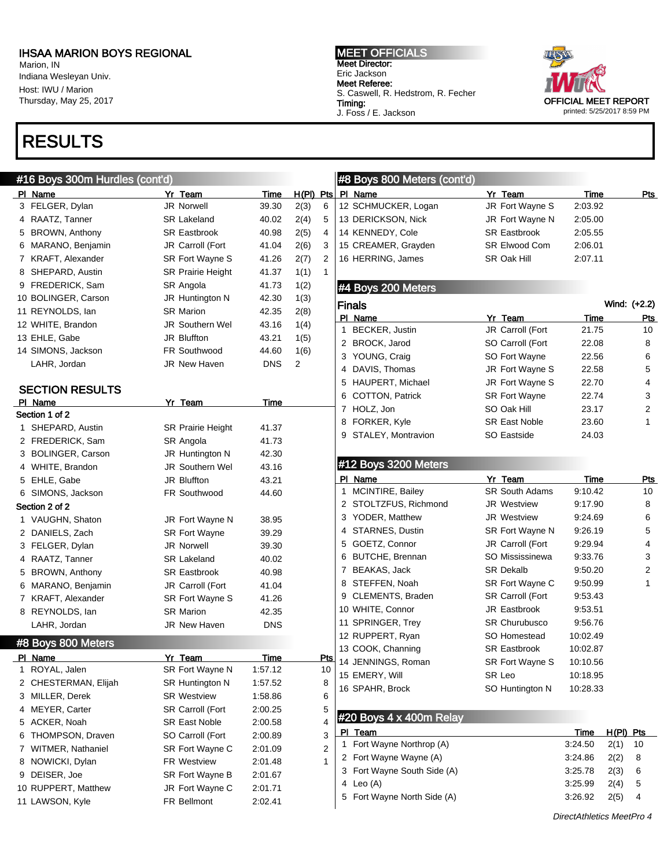Marion, IN Indiana Wesleyan Univ. Host: IWU / Marion Thursday, May 25, 2017

## RESULTS

### #16 Boys 300m Hurdles (cont'd)

PI Name Yr Team Time H(PI) Pts 3 FELGER, Dylan JR Norwell 39.30 2(3) 6 4 RAATZ, Tanner SR Lakeland 40.02 2(4) 5 5 BROWN, Anthony SR Eastbrook 40.98 2(5) 4 6 MARANO, Benjamin JR Carroll (Fort 41.04 2(6) 3 7 KRAFT, Alexander SR Fort Wayne S 41.26 2(7) 2 8 SHEPARD, Austin SR Prairie Height 41.37 1(1) 1 9 FREDERICK, Sam SR Angola 41.73 1(2) 10 BOLINGER, Carson JR Huntington N 42.30 1(3) 11 REYNOLDS, Ian SR Marion 42.35 2(8) 12 WHITE, Brandon JR Southern Wel 43.16 1(4) 13 EHLE, Gabe JR Bluffton 43.21 1(5) 14 SIMONS, Jackson FR Southwood 44.60 1(6) LAHR, Jordan **JR New Haven** DNS 2 SECTION RESULTS PI Name **Yr Team** Time Section 1 of 2 1 SHEPARD, Austin SR Prairie Height 41.37 2 FREDERICK, Sam SR Angola 41.73 3 BOLINGER, Carson JR Huntington N 42.30 4 WHITE, Brandon JR Southern Wel 43.16 5 EHLE, Gabe JR Bluffton 43.21 6 SIMONS, Jackson FR Southwood 44.60 Section 2 of 2 1 VAUGHN, Shaton JR Fort Wayne N 38.95 2 DANIELS, Zach SR Fort Wayne 39.29 3 FELGER, Dylan JR Norwell 39.30 4 RAATZ, Tanner SR Lakeland 40.02 5 BROWN, Anthony SR Eastbrook 40.98 6 MARANO, Benjamin JR Carroll (Fort 41.04 7 KRAFT, Alexander SR Fort Wayne S 41.26 8 REYNOLDS, Ian SR Marion 42.35 LAHR, Jordan JR New Haven DNS #8 Boys 800 Meters PI Name **Product Product Product Product Product** Product Product Product Product Product Product Product Product Product Product Product Product Product Product Product Product Product Product Product Product Product Prod 1 ROYAL, Jalen SR Fort Wayne N 1:57.12 10 2 CHESTERMAN, Elijah SR Huntington N 1:57.52 8 3 MILLER, Derek SR Westview 1:58.86 6 4 MEYER, Carter SR Carroll (Fort 2:00.25 5 5 ACKER, Noah SR East Noble 2:00.58 4 6 THOMPSON, Draven SO Carroll (Fort 2:00.89 3 7 WITMER, Nathaniel SR Fort Wayne C 2:01.09 2 8 NOWICKI, Dylan **FR Westview** 2:01.48 1 9 DEISER, Joe SR Fort Wayne B 2:01.67

10 RUPPERT, Matthew JR Fort Wayne C 2:01.71 11 LAWSON, Kyle FR Bellmont 2:02.41 MEET OFFICIALS Meet Director: Eric Jackson Meet Referee: S. Caswell, R. Hedstrom, R. Fecher Timing: J. Foss / E. Jackson



### #8 Boys 800 Meters (cont'd) PI Name **Product Product Product Product Product** Product Product Product Product Product Product Product Product Product Product Product Product Product Product Product Product Product Product Product Product Product Prod 12 SCHMUCKER, Logan JR Fort Wayne S 2:03.92 13 DERICKSON, Nick JR Fort Wayne N 2:05.00 14 KENNEDY, Cole SR Eastbrook 2:05.55 15 CREAMER, Grayden SR Elwood Com 2:06.01 16 HERRING, James SR Oak Hill 2:07.11

#### #4 Boys 200 Meters Finals Wind: (+2.2) PI Name **Yr Team** Time Pts 1 BECKER, Justin JR Carroll (Fort 21.75 10 2 BROCK, Jarod SO Carroll (Fort 22.08 8 3 YOUNG, Craig **SO Fort Wayne** 22.56 6 4 DAVIS, Thomas **JR Fort Wayne S** 22.58 5 5 HAUPERT, Michael JR Fort Wayne S 22.70 4 6 COTTON, Patrick SR Fort Wayne 22.74 3 7 HOLZ, Jon SO Oak Hill 23.17 2 8 FORKER, Kyle SR East Noble 23.60 1 9 STALEY, Montravion SO Eastside 24.03

#### #12 Boys 3200 Meters

| ΡI | Name                   | Yr Team               | Time     | Pts |
|----|------------------------|-----------------------|----------|-----|
| 1  | MCINTIRE, Bailey       | <b>SR South Adams</b> | 9:10.42  | 10  |
|    | 2 STOLTZFUS, Richmond  | <b>JR Westview</b>    | 9:17.90  | 8   |
|    | 3 YODER, Matthew       | <b>JR Westview</b>    | 9:24.69  | 6   |
| 4  | STARNES, Dustin        | SR Fort Wayne N       | 9:26.19  | 5   |
| 5. | GOETZ, Connor          | JR Carroll (Fort      | 9:29.94  | 4   |
| 6  | <b>BUTCHE, Brennan</b> | SO Mississinewa       | 9:33.76  | 3   |
| 7  | BEAKAS, Jack           | <b>SR Dekalb</b>      | 9:50.20  | 2   |
|    | 8 STEFFEN, Noah        | SR Fort Wayne C       | 9:50.99  | 1   |
|    | 9 CLEMENTS, Braden     | SR Carroll (Fort      | 9.53.43  |     |
|    | 10 WHITE, Connor       | JR Eastbrook          | 9:53.51  |     |
|    | 11 SPRINGER, Trey      | <b>SR Churubusco</b>  | 9:56.76  |     |
|    | 12 RUPPERT, Ryan       | SO Homestead          | 10:02.49 |     |
|    | 13 COOK, Channing      | <b>SR Eastbrook</b>   | 10:02.87 |     |
|    | 14 JENNINGS, Roman     | SR Fort Wayne S       | 10:10.56 |     |
|    | 15 EMERY, Will         | SR Leo                | 10:18.95 |     |
|    | 16 SPAHR, Brock        | SO Huntington N       | 10:28.33 |     |

#### #20 Boys 4 x 400m Relay

| Team                        | Time    | $H(PI)$ Pts |
|-----------------------------|---------|-------------|
| 1 Fort Wayne Northrop (A)   | 3:24.50 | 2(1)<br>10  |
| 2 Fort Wayne Wayne (A)      | 3:24.86 | 2(2)<br>8   |
| 3 Fort Wayne South Side (A) | 3:25.78 | 2(3)<br>6   |
| Leo (A)<br>4                | 3:25.99 | 2(4)<br>5   |
| 5 Fort Wayne North Side (A) | 3:26.92 | 2(5)<br>4   |
|                             |         |             |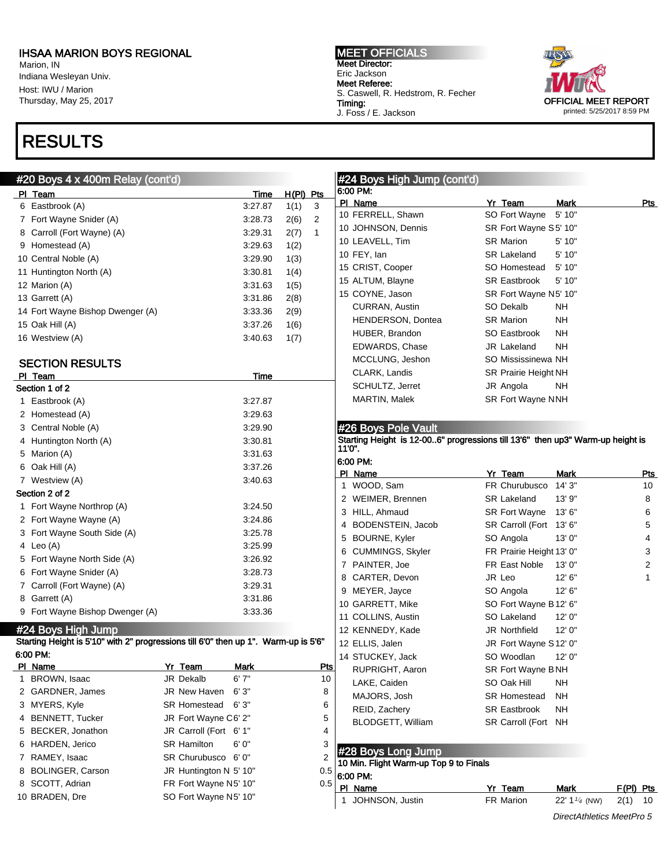Marion, IN Indiana Wesleyan Univ. Host: IWU / Marion Thursday, May 25, 2017

# RESULTS

#### #20 Boys 4 x 400m Relay (cont'd)

PI Team Time H(PI) Pts Eastbrook (A) 3:27.87 1(1) 3 Fort Wayne Snider (A) 3:28.73 2(6) 2 Carroll (Fort Wayne) (A) 3:29.31 2(7) 1 Homestead (A) 3:29.63 1(2) Central Noble (A) 3:29.90 1(3) Huntington North (A) 3:30.81 1(4) 12 Marion (A) 3:31.63 1(5) 13 Garrett (A) 3:31.86 2(8) Fort Wayne Bishop Dwenger (A) 3:33.36 2(9) Oak Hill (A) 3:37.26 1(6) 16 Westview (A) 3:40.63 1(7) SECTION RESULTS PI Team Time Section 1 of 2 Eastbrook (A) 3:27.87 Homestead (A) 3:29.63 3 Central Noble (A) 3:29.90 Huntington North (A) 3:30.81 Marion (A) 3:31.63 Oak Hill (A) 3:37.26 Westview (A) 3:40.63 Section 2 of 2 Fort Wayne Northrop (A) 3:24.50 Fort Wayne Wayne (A) 3:24.86 3 Fort Wayne South Side (A) 3:25.78 Leo (A) 3:25.99 Fort Wayne North Side (A) 3:26.92 Fort Wayne Snider (A) 3:28.73 Carroll (Fort Wayne) (A) 3:29.31 8 Garrett (A) 3:31.86 9 Fort Wayne Bishop Dwenger (A) 3:33.36

#24 Boys High Jump

Starting Height is 5'10" with 2" progressions till 6'0" then up 1". Warm-up is 5'6" 6:00 PM:

|   | PI Name                 | Yr Team                | Mark  | Pts |
|---|-------------------------|------------------------|-------|-----|
| 1 | BROWN, Isaac            | JR Dekalb              | 6'7'' | 10  |
|   | 2 GARDNER, James        | <b>JR New Haven</b>    | 6'3"  | 8   |
|   | 3 MYERS, Kyle           | SR Homestead           | 6'3'' | 6   |
|   | 4 BENNETT, Tucker       | JR Fort Wayne C6' 2"   |       | 5   |
|   | 5 BECKER, Jonathon      | JR Carroll (Fort 6' 1" |       | 4   |
|   | 6 HARDEN, Jerico        | <b>SR Hamilton</b>     | 6'0'' | 3   |
|   | 7 RAMEY, Isaac          | SR Churubusco 6'0"     |       | 2   |
| 8 | <b>BOLINGER, Carson</b> | JR Huntington N 5' 10" |       | 0.5 |
|   | 8 SCOTT, Adrian         | FR Fort Wayne N5' 10"  |       | 0.5 |
|   | 10 BRADEN, Dre          | SO Fort Wayne N5' 10"  |       |     |

#### MEET OFFICIALS Meet Director: Eric Jackson Meet Referee: S. Caswell, R. Hedstrom, R. Fecher Timing: J. Foss / E. Jackson



| #24 Boys High Jump (cont'd) |                       |           |     |
|-----------------------------|-----------------------|-----------|-----|
| 6:00 PM:                    |                       |           |     |
| PI Name                     | Yr Team               | Mark      | Pts |
| 10 FERRELL, Shawn           | SO Fort Wayne 5' 10"  |           |     |
| 10 JOHNSON, Dennis          | SR Fort Wayne S5' 10" |           |     |
| 10 LEAVELL, Tim             | SR Marion             | 5'10"     |     |
| 10 FEY, lan                 | SR Lakeland 5' 10"    |           |     |
| 15 CRIST, Cooper            | SO Homestead 5' 10"   |           |     |
| 15 ALTUM, Blayne            | SR Eastbrook          | 5'10"     |     |
| 15 COYNE, Jason             | SR Fort Wayne N5' 10" |           |     |
| <b>CURRAN, Austin</b>       | SO Dekalb             | NH        |     |
| <b>HENDERSON, Dontea</b>    | SR Marion             | <b>NH</b> |     |
| HUBER, Brandon              | SO Eastbrook          | <b>NH</b> |     |
| EDWARDS, Chase              | JR Lakeland           | NΗ        |     |
| MCCLUNG, Jeshon             | SO Mississinewa NH    |           |     |
| CLARK, Landis               | SR Prairie Height NH  |           |     |
| <b>SCHULTZ, Jerret</b>      | JR Angola             | NΗ        |     |
| <b>MARTIN, Malek</b>        | SR Fort Wayne NNH     |           |     |
|                             |                       |           |     |

#### #26 Boys Pole Vault

Starting Height is 12-00..6" progressions till 13'6" then up3" Warm-up height is 11'0". 6:00 PM:

| PI | Name                    | Yr Team                  | Mark      | Pts |
|----|-------------------------|--------------------------|-----------|-----|
| 1  | WOOD, Sam               | FR Churubusco            | 14' 3"    | 10  |
|    | 2 WEIMER, Brennen       | <b>SR Lakeland</b>       | 13' 9"    | 8   |
| 3  | HILL, Ahmaud            | SR Fort Wayne            | 13'6''    | 6   |
| 4  | BODENSTEIN, Jacob       | SR Carroll (Fort         | 13'6''    | 5   |
| 5  | <b>BOURNE, Kyler</b>    | SO Angola                | 13' 0"    | 4   |
| 6  | <b>CUMMINGS, Skyler</b> | FR Prairie Height 13' 0" |           | 3   |
| 7  | PAINTER, Joe            | FR East Noble            | 13' 0"    | 2   |
| 8  | CARTER, Devon           | JR Leo                   | 12' 6''   | 1   |
| 9  | MEYER, Jayce            | SO Angola                | 12' 6''   |     |
|    | 10 GARRETT, Mike        | SO Fort Wayne B12' 6"    |           |     |
|    | 11 COLLINS, Austin      | SO Lakeland              | 12'0''    |     |
|    | 12 KENNEDY, Kade        | JR Northfield            | 12'0''    |     |
|    | 12 ELLIS, Jalen         | JR Fort Wayne S12' 0"    |           |     |
|    | 14 STUCKEY, Jack        | SO Woodlan               | 12'0''    |     |
|    | RUPRIGHT, Aaron         | SR Fort Wayne BNH        |           |     |
|    | LAKE, Caiden            | SO Oak Hill              | <b>NH</b> |     |
|    | MAJORS, Josh            | <b>SR Homestead</b>      | NΗ        |     |
|    | REID, Zachery           | <b>SR Eastbrook</b>      | NH.       |     |
|    | BLODGETT, William       | <b>SR Carroll (Fort</b>  | NΗ        |     |
|    |                         |                          |           |     |
|    |                         |                          |           |     |

### #28 Boys Long Jump

10 Min. Flight Warm-up Top 9 to Finals

#### 6:00 PM:

PI Name Yr Team Mark F(PI) Pts 1 JOHNSON, Justin FR Marion 22' 1<sup>1</sup>/4 (NW) 2(1) 10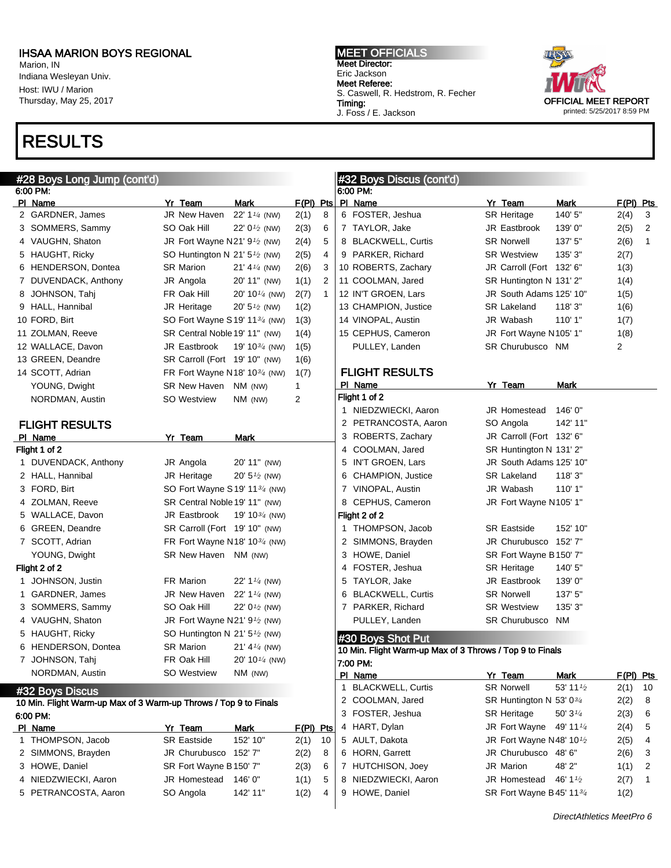Marion, IN Indiana Wesleyan Univ. Host: IWU / Marion Thursday, May 25, 2017

# RESULTS

MEET OFFICIALS Meet Director: Eric Jackson Meet Referee: S. Caswell, R. Hedstrom, R. Fecher Timing: J. Foss / E. Jackson



| #28 Boys Long Jump (cont'd)                                      |                                                       |                            |                |                | #32 Boys Discus (cont'd)                                 |                          |                      |                |                |
|------------------------------------------------------------------|-------------------------------------------------------|----------------------------|----------------|----------------|----------------------------------------------------------|--------------------------|----------------------|----------------|----------------|
| 6:00 PM:                                                         |                                                       |                            |                |                | 6:00 PM:                                                 |                          |                      |                |                |
| PI Name                                                          | Yr Team                                               | <b>Mark</b>                | $F(PI)$ Pts    |                | PI Name                                                  | Yr Team                  | Mark                 | $F(PI)$ Pts    |                |
| 2 GARDNER, James                                                 | JR New Haven 22' 1 <sup>1/4</sup> (NW)                |                            | 2(1)           | 8              | 6 FOSTER, Jeshua                                         | <b>SR Heritage</b>       | 140' 5"              | 2(4)           | 3              |
| 3 SOMMERS, Sammy                                                 | SO Oak Hill                                           | 22' $0\frac{1}{2}$ (NW)    | 2(3)           | 6              | 7 TAYLOR, Jake                                           | JR Eastbrook             | 139'0"               | 2(5)           | $\overline{2}$ |
| 4 VAUGHN, Shaton                                                 | JR Fort Wayne N21' 9 <sup>1</sup> /2 (NW)             |                            | 2(4)           | 5              | 8 BLACKWELL, Curtis                                      | <b>SR Norwell</b>        | 137' 5"              | 2(6)           | $\mathbf{1}$   |
| 5 HAUGHT, Ricky                                                  | SO Huntington N 21' 5 <sup>1</sup> /2 (NW)            |                            | 2(5)           | 4              | 9 PARKER, Richard                                        | <b>SR Westview</b>       | 135' 3"              | 2(7)           |                |
| 6 HENDERSON, Dontea                                              | <b>SR Marion</b>                                      | $21' 4\frac{1}{4}$ (NW)    | 2(6)           | 3              | 10 ROBERTS, Zachary                                      | JR Carroll (Fort 132' 6" |                      | 1(3)           |                |
| 7 DUVENDACK, Anthony                                             | JR Angola                                             | 20' 11" (NW)               | 1(1)           | $\overline{2}$ | 11 COOLMAN, Jared                                        | SR Huntington N 131' 2"  |                      | 1(4)           |                |
| 8 JOHNSON, Tahj                                                  | FR Oak Hill                                           | 20' 10 $\frac{1}{4}$ (NW)  | 2(7)           | $\mathbf{1}$   | 12 IN'T GROEN, Lars                                      | JR South Adams 125' 10"  |                      | 1(5)           |                |
| 9 HALL, Hannibal                                                 | JR Heritage                                           | 20' $5\frac{1}{2}$ (NW)    | 1(2)           |                | 13 CHAMPION, Justice                                     | <b>SR Lakeland</b>       | 118'3''              | 1(6)           |                |
| 10 FORD, Birt                                                    | SO Fort Wayne S19' 11 <sup>3/4</sup> (NW)             |                            | 1(3)           |                | 14 VINOPAL, Austin                                       | JR Wabash                | 110' 1"              | 1(7)           |                |
| 11 ZOLMAN, Reeve                                                 | SR Central Noble 19' 11" (NW)                         |                            | 1(4)           |                | 15 CEPHUS, Cameron                                       | JR Fort Wayne N105' 1"   |                      | 1(8)           |                |
| 12 WALLACE, Davon                                                | JR Eastbrook                                          | 19' 10 $\frac{3}{4}$ (NW)  | 1(5)           |                | PULLEY, Landen                                           | SR Churubusco NM         |                      | $\overline{2}$ |                |
| 13 GREEN, Deandre                                                | SR Carroll (Fort 19' 10" (NW)                         |                            | 1(6)           |                |                                                          |                          |                      |                |                |
| 14 SCOTT, Adrian                                                 | FR Fort Wayne N18' 10 <sup>3/4</sup> (NW)             |                            | 1(7)           |                | <b>FLIGHT RESULTS</b>                                    |                          |                      |                |                |
| YOUNG, Dwight                                                    | SR New Haven NM (NW)                                  |                            | $\mathbf{1}$   |                | PI Name                                                  | Yr Team                  | Mark                 |                |                |
| NORDMAN, Austin                                                  | <b>SO Westview</b>                                    | NM (NW)                    | $\overline{2}$ |                | Flight 1 of 2                                            |                          |                      |                |                |
|                                                                  |                                                       |                            |                |                | 1 NIEDZWIECKI, Aaron                                     | <b>JR Homestead</b>      | 146'0"               |                |                |
| <b>FLIGHT RESULTS</b>                                            |                                                       |                            |                |                | 2 PETRANCOSTA, Aaron                                     | SO Angola                | 142' 11"             |                |                |
| PI Name                                                          | Yr Team                                               | Mark                       |                |                | 3 ROBERTS, Zachary                                       | JR Carroll (Fort 132' 6" |                      |                |                |
| Flight 1 of 2                                                    |                                                       |                            |                |                | 4 COOLMAN, Jared                                         | SR Huntington N 131' 2"  |                      |                |                |
| 1 DUVENDACK, Anthony                                             | JR Angola                                             | 20' 11" (NW)               |                |                | 5 IN'T GROEN, Lars                                       | JR South Adams 125' 10"  |                      |                |                |
| 2 HALL, Hannibal                                                 | JR Heritage                                           | 20' $5\frac{1}{2}$ (NW)    |                |                | 6 CHAMPION, Justice                                      | <b>SR Lakeland</b>       | 118'3"               |                |                |
| 3 FORD, Birt                                                     | SO Fort Wayne S19' 11 <sup>3/4</sup> (NW)             |                            |                |                | 7 VINOPAL, Austin                                        | JR Wabash                | 110' 1"              |                |                |
| 4 ZOLMAN, Reeve                                                  | SR Central Noble 19' 11" (NW)                         |                            |                |                | 8 CEPHUS, Cameron                                        | JR Fort Wayne N105' 1"   |                      |                |                |
| 5 WALLACE, Davon                                                 | JR Eastbrook                                          | 19' 10 <sup>3/4</sup> (NW) |                |                | Flight 2 of 2                                            |                          |                      |                |                |
| 6 GREEN, Deandre                                                 | SR Carroll (Fort 19' 10" (NW)                         |                            |                |                | 1 THOMPSON, Jacob                                        | <b>SR Eastside</b>       | 152' 10"             |                |                |
| 7 SCOTT, Adrian                                                  | FR Fort Wayne N18' 10 <sup>3/4</sup> (NW)             |                            |                |                | 2 SIMMONS, Brayden                                       | JR Churubusco 152' 7"    |                      |                |                |
| YOUNG, Dwight                                                    | SR New Haven NM (NW)                                  |                            |                |                | 3 HOWE, Daniel                                           | SR Fort Wayne B 150' 7"  |                      |                |                |
| Flight 2 of 2                                                    |                                                       |                            |                |                | 4 FOSTER, Jeshua                                         | <b>SR Heritage</b>       | 140' 5"              |                |                |
| 1 JOHNSON, Justin                                                | <b>FR Marion</b>                                      | 22' 1 <sup>1/4</sup> (NW)  |                |                | 5 TAYLOR, Jake                                           | JR Eastbrook             | 139'0"               |                |                |
| 1 GARDNER, James                                                 | JR New Haven                                          | 22' $1\frac{1}{4}$ (NW)    |                |                | 6 BLACKWELL, Curtis                                      | <b>SR Norwell</b>        | 137' 5"              |                |                |
| 3 SOMMERS, Sammy                                                 | SO Oak Hill                                           | 22' $0\frac{1}{2}$ (NW)    |                |                | 7 PARKER, Richard                                        | <b>SR Westview</b>       | 135' 3"              |                |                |
| 4 VAUGHN, Shaton                                                 | JR Fort Wayne N21' 9 <sup>1</sup> / <sub>2</sub> (NW) |                            |                |                | PULLEY, Landen                                           | <b>SR Churubusco</b>     | <b>NM</b>            |                |                |
| 5 HAUGHT, Ricky                                                  | SO Huntington N 21' 5 <sup>1/2</sup> (NW)             |                            |                |                |                                                          |                          |                      |                |                |
| 6 HENDERSON, Dontea                                              | <b>SR Marion</b>                                      | 21' 4 $\frac{1}{4}$ (NW)   |                |                | #30 Boys Shot Put                                        |                          |                      |                |                |
| 7 JOHNSON, Tahj                                                  | FR Oak Hill                                           | 20' 10 $\frac{1}{4}$ (NW)  |                |                | 10 Min. Flight Warm-up Max of 3 Throws / Top 9 to Finals |                          |                      |                |                |
| NORDMAN, Austin                                                  | <b>SO Westview</b>                                    | NM (NW)                    |                |                | 7:00 PM:                                                 |                          |                      |                |                |
|                                                                  |                                                       |                            |                |                | PI Name                                                  | Yr Team                  | <b>Mark</b>          | $F(PI)$ Pts    |                |
| #32 Boys Discus                                                  |                                                       |                            |                |                | 1 BLACKWELL, Curtis                                      | <b>SR Norwell</b>        | 53' 11 $\frac{1}{2}$ | 2(1)           | 10             |
| 10 Min. Flight Warm-up Max of 3 Warm-up Throws / Top 9 to Finals |                                                       |                            |                |                | 2 COOLMAN, Jared                                         | SR Huntington N 53' 03/4 |                      | 2(2)           | 8              |
| 6:00 PM:                                                         |                                                       |                            |                |                | 3 FOSTER, Jeshua                                         | <b>SR Heritage</b>       | 50' 3 $\frac{1}{4}$  | 2(3)           | 6              |
| PI Name                                                          | Yr Team                                               | <u>Mark</u>                | $F(PI)$ Pts    |                | 4 HART, Dylan                                            | JR Fort Wayne            | 49' 11 1/4           | 2(4)           | 5              |
| 1 THOMPSON, Jacob                                                | <b>SR Eastside</b>                                    | 152' 10"                   | 2(1)           | 10             | 5 AULT, Dakota                                           | JR Fort Wayne N48' 101/2 |                      | 2(5)           | 4              |
| 2 SIMMONS, Brayden                                               | JR Churubusco 152' 7"                                 |                            | 2(2)           | 8              | 6 HORN, Garrett                                          | JR Churubusco            | 48' 6"               | 2(6)           | 3              |
| 3 HOWE, Daniel                                                   | SR Fort Wayne B150' 7"                                |                            | 2(3)           | 6              | 7 HUTCHISON, Joey                                        | JR Marion                | 48' 2"               | 1(1)           | 2              |
| 4 NIEDZWIECKI, Aaron                                             | JR Homestead                                          | 146' 0"                    | 1(1)           | 5              | 8 NIEDZWIECKI, Aaron                                     | JR Homestead             | 46' 1 $\frac{1}{2}$  | 2(7)           | 1              |
| 5 PETRANCOSTA, Aaron                                             | SO Angola                                             | 142' 11"                   | 1(2)           | 4              | 9 HOWE, Daniel                                           | SR Fort Wayne B 45' 1134 |                      | 1(2)           |                |